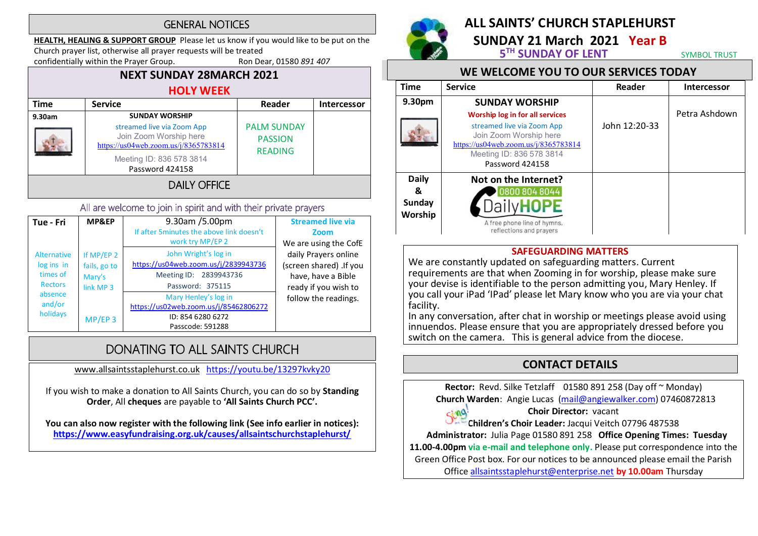#### **GENERAL NOTICES**

HEALTH, HEALING & SUPPORT GROUP Please let us know if you would like to be put on the Church prayer list, otherwise all prayer requests will be treated

confidentially within the Prayer Group. Ron Dear, 01580 891 407

#### NEXT SUNDAY 28MARCH 2021 HOLY WEEK Time | Service Reader Intercessor 9.30am | SUNDAY WORSHIP streamed live via Zoom App Join Zoom Worship here https://us04web.zoom.us/j/8365783814 Meeting ID: 836 578 3814 Password 424158 PALM SUNDAY PASSION READING

### **DAILY OFFICE**

#### All are welcome to join in spirit and with their private prayers

| Tue - Fri                                                                                       | MP&EP                                                                     | 9.30am /5.00pm<br>If after 5 minutes the above link doesn't<br>work try MP/EP 2                            | <b>Streamed live via</b><br>Zoom<br>We are using the CofE                                     |
|-------------------------------------------------------------------------------------------------|---------------------------------------------------------------------------|------------------------------------------------------------------------------------------------------------|-----------------------------------------------------------------------------------------------|
| <b>Alternative</b><br>log ins in<br>times of<br><b>Rectors</b><br>absence<br>and/or<br>holidays | If MP/EP 2<br>fails, go to<br>Mary's<br>link MP <sub>3</sub><br>$MP/EP$ 3 | John Wright's log in<br>https://us04web.zoom.us/j/2839943736<br>Meeting ID: 2839943736<br>Password: 375115 | daily Prayers online<br>(screen shared) .If you<br>have, have a Bible<br>ready if you wish to |
|                                                                                                 |                                                                           | Mary Henley's log in<br>https://us02web.zoom.us/j/85462806272<br>ID: 854 6280 6272<br>Passcode: 591288     | follow the readings.                                                                          |

## DONATING TO ALL SAINTS CHURCH

www.allsaintsstaplehurst.co.uk https://youtu.be/13297kvky20

If you wish to make a donation to All Saints Church, you can do so by Standing Order, All cheques are payable to 'All Saints Church PCC'.

You can also now register with the following link (See info earlier in notices): https://www.easyfundraising.org.uk/causes/allsaintschurchstaplehurst/



 $C_1 \cap Q$ 

# ALL SAINTS' CHURCH STAPLEHURST

SUNDAY 21 March 2021 Year B<br>5<sup>TH</sup> SUNDAY OF LENT SYMBOL TRUST

#### WE WELCOME YOU TO OUR SERVICES TODAY

| <b>Time</b>              | <b>Service</b>                                                                                                                                                                        | Reader        | <b>Intercessor</b> |  |
|--------------------------|---------------------------------------------------------------------------------------------------------------------------------------------------------------------------------------|---------------|--------------------|--|
| 9.30pm                   | <b>SUNDAY WORSHIP</b>                                                                                                                                                                 |               |                    |  |
|                          | <b>Worship log in for all services</b><br>streamed live via Zoom App<br>Join Zoom Worship here<br>https://us04web.zoom.us/j/8365783814<br>Meeting ID: 836 578 3814<br>Password 424158 | John 12:20-33 | Petra Ashdown      |  |
| <b>Daily</b>             | Not on the Internet?                                                                                                                                                                  |               |                    |  |
| &                        | 0800 804 8044                                                                                                                                                                         |               |                    |  |
| <b>Sunday</b><br>Worship |                                                                                                                                                                                       |               |                    |  |
|                          | A free phone line of hymns,<br>reflections and prayers                                                                                                                                |               |                    |  |

#### SAFEGUARDING MATTERS

We are constantly updated on safeguarding matters. Current requirements are that when Zooming in for worship, please make sure your devise is identifiable to the person admitting you, Mary Henley. If you call your iPad 'IPad' please let Mary know who you are via your chat facility.

In any conversation, after chat in worship or meetings please avoid using innuendos. Please ensure that you are appropriately dressed before you switch on the camera. This is general advice from the diocese.

## CONTACT DETAILS

Rector: Revd. Silke Tetzlaff 01580 891 258 (Day off ~ Monday) Church Warden: Angie Lucas (mail@angiewalker.com) 07460872813

#### Choir Director: vacant

Children's Choir Leader: Jacqui Veitch 07796 487538

Administrator: Julia Page 01580 891 258 Office Opening Times: Tuesday

11.00-4.00pm via e-mail and telephone only. Please put correspondence into the Green Office Post box. For our notices to be announced please email the Parish

Office allsaintsstaplehurst@enterprise.net by 10.00am Thursday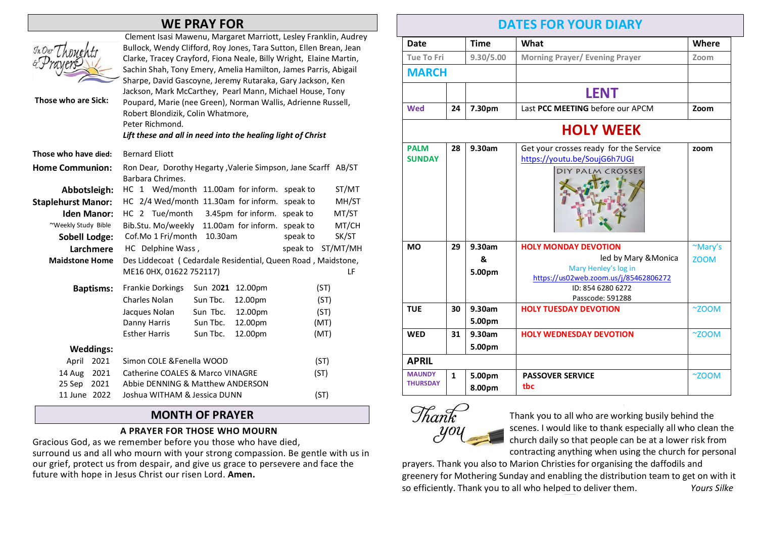### WE PRAY FOR

|                           | ווט ו ווהו ו שו                                                                                                                                                                                                                                                                                                                                                                                                                                                                                                                                                                                  |  |  |  |  |
|---------------------------|--------------------------------------------------------------------------------------------------------------------------------------------------------------------------------------------------------------------------------------------------------------------------------------------------------------------------------------------------------------------------------------------------------------------------------------------------------------------------------------------------------------------------------------------------------------------------------------------------|--|--|--|--|
| Those who are Sick:       | Clement Isasi Mawenu, Margaret Marriott, Lesley Franklin, Audrey<br>Bullock, Wendy Clifford, Roy Jones, Tara Sutton, Ellen Brean, Jean<br>Clarke, Tracey Crayford, Fiona Neale, Billy Wright, Elaine Martin,<br>Sachin Shah, Tony Emery, Amelia Hamilton, James Parris, Abigail<br>Sharpe, David Gascoyne, Jeremy Rutaraka, Gary Jackson, Ken<br>Jackson, Mark McCarthey, Pearl Mann, Michael House, Tony<br>Poupard, Marie (nee Green), Norman Wallis, Adrienne Russell,<br>Robert Blondizik, Colin Whatmore,<br>Peter Richmond.<br>Lift these and all in need into the healing light of Christ |  |  |  |  |
| Those who have died:      | <b>Bernard Eliott</b>                                                                                                                                                                                                                                                                                                                                                                                                                                                                                                                                                                            |  |  |  |  |
| <b>Home Communion:</b>    | Ron Dear, Dorothy Hegarty, Valerie Simpson, Jane Scarff AB/ST<br>Barbara Chrimes.                                                                                                                                                                                                                                                                                                                                                                                                                                                                                                                |  |  |  |  |
| Abbotsleigh:              | HC 1 Wed/month 11.00am for inform.<br>ST/MT<br>speak to                                                                                                                                                                                                                                                                                                                                                                                                                                                                                                                                          |  |  |  |  |
| <b>Staplehurst Manor:</b> | HC 2/4 Wed/month 11.30am for inform.<br>MH/ST<br>speak to                                                                                                                                                                                                                                                                                                                                                                                                                                                                                                                                        |  |  |  |  |
| <b>Iden Manor:</b>        | HC 2 Tue/month<br>3.45pm for inform.<br>speak to<br>MT/ST                                                                                                                                                                                                                                                                                                                                                                                                                                                                                                                                        |  |  |  |  |
| ~Weekly Study Bible       | Bib.Stu. Mo/weekly<br>11.00am for inform. speak to<br>MT/CH                                                                                                                                                                                                                                                                                                                                                                                                                                                                                                                                      |  |  |  |  |
| Sobell Lodge:             | Cof.Mo 1 Fri/month<br>SK/ST<br>10.30am<br>speak to                                                                                                                                                                                                                                                                                                                                                                                                                                                                                                                                               |  |  |  |  |
| Larchmere                 | HC Delphine Wass,<br>speak to<br>ST/MT/MH                                                                                                                                                                                                                                                                                                                                                                                                                                                                                                                                                        |  |  |  |  |
| <b>Maidstone Home</b>     | Des Liddecoat (Cedardale Residential, Queen Road, Maidstone,                                                                                                                                                                                                                                                                                                                                                                                                                                                                                                                                     |  |  |  |  |
|                           | ME16 0HX, 01622 752117)<br>LF                                                                                                                                                                                                                                                                                                                                                                                                                                                                                                                                                                    |  |  |  |  |
| <b>Baptisms:</b>          | <b>Frankie Dorkings</b><br>Sun 2021<br>12.00pm<br>(ST)                                                                                                                                                                                                                                                                                                                                                                                                                                                                                                                                           |  |  |  |  |
|                           | Charles Nolan<br>Sun Tbc.<br>12.00pm<br>(ST)                                                                                                                                                                                                                                                                                                                                                                                                                                                                                                                                                     |  |  |  |  |
|                           | Sun Tbc.<br>12.00pm<br>(ST)<br>Jacques Nolan                                                                                                                                                                                                                                                                                                                                                                                                                                                                                                                                                     |  |  |  |  |
|                           | Sun Tbc.<br>12.00pm<br>Danny Harris<br>(MT)                                                                                                                                                                                                                                                                                                                                                                                                                                                                                                                                                      |  |  |  |  |
|                           | <b>Esther Harris</b><br>Sun Tbc.<br>12.00pm<br>(MT)                                                                                                                                                                                                                                                                                                                                                                                                                                                                                                                                              |  |  |  |  |
| <b>Weddings:</b>          |                                                                                                                                                                                                                                                                                                                                                                                                                                                                                                                                                                                                  |  |  |  |  |
| 2021<br>April             | Simon COLE & Fenella WOOD<br>(ST)                                                                                                                                                                                                                                                                                                                                                                                                                                                                                                                                                                |  |  |  |  |
| 14 Aug<br>2021            | <b>Catherine COALES &amp; Marco VINAGRE</b><br>(ST)                                                                                                                                                                                                                                                                                                                                                                                                                                                                                                                                              |  |  |  |  |
| 25 Sep<br>2021            | Abbie DENNING & Matthew ANDERSON                                                                                                                                                                                                                                                                                                                                                                                                                                                                                                                                                                 |  |  |  |  |
| 11 June 2022              | Joshua WITHAM & Jessica DUNN<br>(ST)                                                                                                                                                                                                                                                                                                                                                                                                                                                                                                                                                             |  |  |  |  |

#### MONTH OF PRAYER

#### A PRAYER FOR THOSE WHO MOURN

Gracious God, as we remember before you those who have died, surround us and all who mourn with your strong compassion. Be gentle with us in our grief, protect us from despair, and give us grace to persevere and face the future with hope in Jesus Christ our risen Lord. Amen.

### DATES FOR YOUR DIARY

| <b>Date</b>                      |                  | <b>Time</b>           | What                                                                                                                                                          | Where                  |  |  |  |
|----------------------------------|------------------|-----------------------|---------------------------------------------------------------------------------------------------------------------------------------------------------------|------------------------|--|--|--|
| <b>Tue To Fri</b>                |                  | 9.30/5.00             | <b>Morning Prayer/ Evening Prayer</b>                                                                                                                         | Zoom                   |  |  |  |
| <b>MARCH</b>                     |                  |                       |                                                                                                                                                               |                        |  |  |  |
|                                  |                  |                       | <b>LENT</b>                                                                                                                                                   |                        |  |  |  |
| <b>Wed</b>                       | 24               | 7.30pm                | Last PCC MEETING before our APCM                                                                                                                              | Zoom                   |  |  |  |
|                                  | <b>HOLY WEEK</b> |                       |                                                                                                                                                               |                        |  |  |  |
| <b>PALM</b><br><b>SUNDAY</b>     | 28               | 9.30am                | Get your crosses ready for the Service<br>https://youtu.be/SoujG6h7UGI<br>DIY PALM CROSSES                                                                    | zoom                   |  |  |  |
| <b>MO</b>                        | 29               | 9.30am<br>&<br>5.00pm | <b>HOLY MONDAY DEVOTION</b><br>led by Mary & Monica<br>Mary Henley's log in<br>https://us02web.zoom.us/j/85462806272<br>ID: 854 6280 6272<br>Passcode: 591288 | ~Mary's<br><b>ZOOM</b> |  |  |  |
| <b>TUE</b>                       | 30               | 9.30am<br>5.00pm      | <b>HOLY TUESDAY DEVOTION</b>                                                                                                                                  | ~7200M                 |  |  |  |
| <b>WED</b>                       | 31               | 9.30am<br>5.00pm      | <b>HOLY WEDNESDAY DEVOTION</b>                                                                                                                                | ~7200M                 |  |  |  |
| <b>APRIL</b>                     |                  |                       |                                                                                                                                                               |                        |  |  |  |
| <b>MAUNDY</b><br><b>THURSDAY</b> | $\mathbf{1}$     | 5.00pm<br>8.00pm      | <b>PASSOVER SERVICE</b><br>tbc                                                                                                                                | ~7200M                 |  |  |  |



Thank you to all who are working busily behind the scenes. I would like to thank especially all who clean the church daily so that people can be at a lower risk from contracting anything when using the church for personal

prayers. Thank you also to Marion Christies for organising the daffodils and greenery for Mothering Sunday and enabling the distribution team to get on with it so efficiently. Thank you to all who helped to deliver them. Yours Silke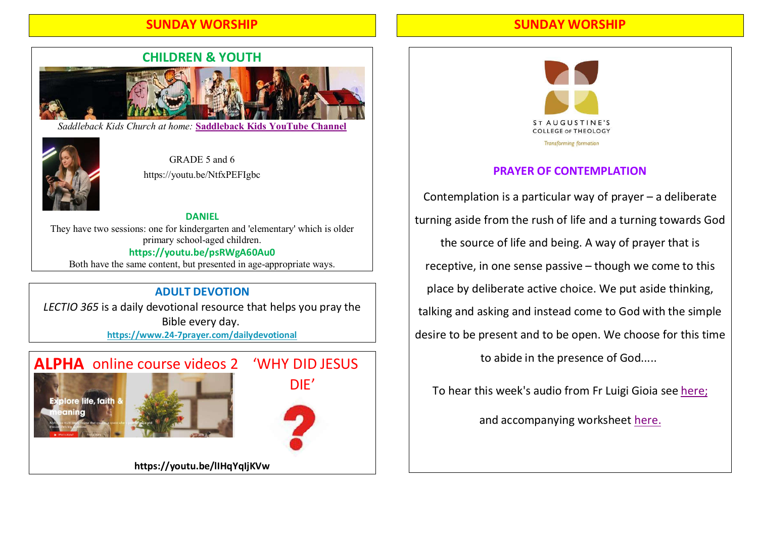#### SUNDAY WORSHIP



*Saddleback Kids Church at home:* **Saddleback Kids YouTube Channel**



GRADE 5 and 6 https://youtu.be/NtfxPEFIgbc

DANIEL They have two sessions: one for kindergarten and 'elementary' which is older primary school-aged children. https://youtu.be/psRWgA60Au0 Both have the same content, but presented in age-appropriate ways.

#### ADULT DEVOTION

LECTIO 365 is a daily devotional resource that helps you pray the Bible every day. https://www.24-7prayer.com/dailydevotional



#### SUNDAY WORSHIP



#### PRAYER OF CONTEMPLATION

Contemplation is a particular way of prayer – a deliberate turning aside from the rush of life and a turning towards God the source of life and being. A way of prayer that is receptive, in one sense passive – though we come to this place by deliberate active choice. We put aside thinking, talking and asking and instead come to God with the simple desire to be present and to be open. We choose for this time to abide in the presence of God.....

To hear this week's audio from Fr Luigi Gioia see here;

and accompanying worksheet here.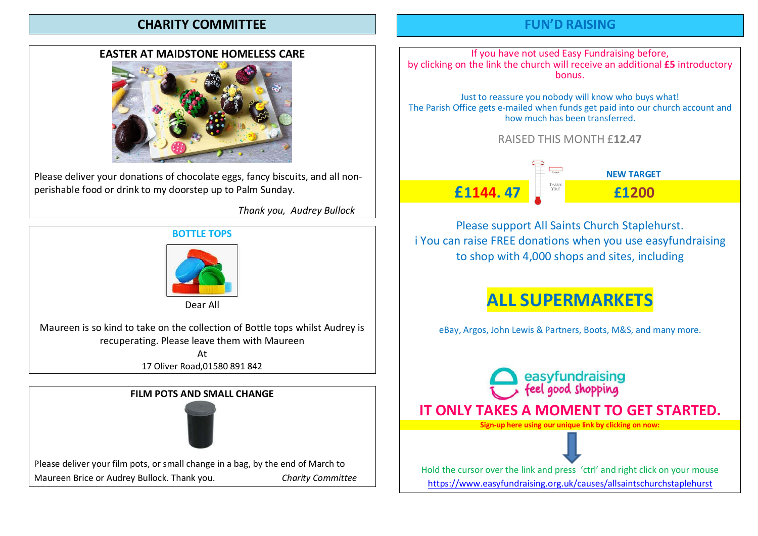#### CHARITY COMMITTEE

#### EASTER AT MAIDSTONE HOMELESS CARE



Please deliver your donations of chocolate eggs, fancy biscuits, and all nonperishable food or drink to my doorstep up to Palm Sunday.

Thank you, Audrey Bullock

#### BOTTLE TOPS



Dear All

Maureen is so kind to take on the collection of Bottle tops whilst Audrey is recuperating. Please leave them with Maureen

At

17 Oliver Road,01580 891 842



### FUN'D RAISING

If you have not used Easy Fundraising before, by clicking on the link the church will receive an additional £5 introductory bonus.

Just to reassure you nobody will know who buys what! The Parish Office gets e-mailed when funds get paid into our church account and how much has been transferred.

RAISED THIS MONTH £12.47



NEW TARGET

Please support All Saints Church Staplehurst. i You can raise FREE donations when you use easyfundraising to shop with 4,000 shops and sites, including

# ALL SUPERMARKETS

eBay, Argos, John Lewis & Partners, Boots, M&S, and many more.



https://www.easyfundraising.org.uk/causes/allsaintschurchstaplehurst